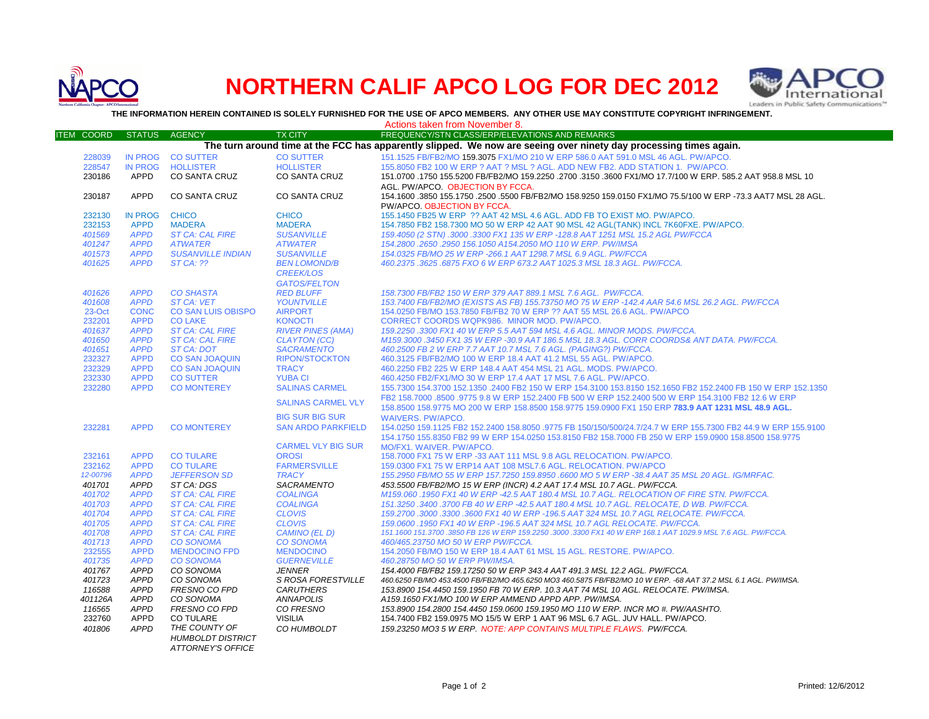

## **NORTHERN CALIF APCO LOG FOR DEC 2012**



**THE INFORMATION HEREIN CONTAINED IS SOLELY FURNISHED FOR THE USE OF APCO MEMBERS. ANY OTHER USE MAY CONSTITUTE COPYRIGHT INFRINGEMENT.**

|                   |                            |                                                  |                                | Actions taken from November 8.                                                                                                                                                              |
|-------------------|----------------------------|--------------------------------------------------|--------------------------------|---------------------------------------------------------------------------------------------------------------------------------------------------------------------------------------------|
| <b>ITEM COORD</b> | <b>STATUS</b>              | <b>AGENCY</b>                                    | <b>TX CITY</b>                 | FREQUENCY/STN CLASS/ERP/ELEVATIONS AND REMARKS                                                                                                                                              |
|                   |                            |                                                  |                                | The turn around time at the FCC has apparently slipped. We now are seeing over ninety day processing times again.                                                                           |
| 228039            |                            | IN PROG CO SUTTER                                | <b>CO SUTTER</b>               | 151.1525 FB/FB2/MO 159.3075 FX1/MO 210 W ERP 586.0 AAT 591.0 MSL 46 AGL. PW/APCO.                                                                                                           |
| 228547            | <b>IN PROG</b>             | <b>HOLLISTER</b>                                 | <b>HOLLISTER</b>               | 155.8050 FB2 100 W ERP ? AAT ? MSL ? AGL. ADD NEW FB2. ADD STATION 1. PW/APCO.                                                                                                              |
| 230186            | APPD                       | <b>CO SANTA CRUZ</b>                             | <b>CO SANTA CRUZ</b>           | 151.0700 .1750 155.5200 FB/FB2/MO 159.2250 .2700 .3150 .3600 FX1/MO 17.7/100 W ERP. 585.2 AAT 958.8 MSL 10                                                                                  |
|                   |                            |                                                  |                                | AGL. PW/APCO. OBJECTION BY FCCA.                                                                                                                                                            |
| 230187            | APPD                       | <b>CO SANTA CRUZ</b>                             | CO SANTA CRUZ                  | 154.1600 .3850 155.1750 .2500 .5500 FB/FB2/MO 158.9250 159.0150 FX1/MO 75.5/100 W ERP -73.3 AAT7 MSL 28 AGL.                                                                                |
|                   |                            |                                                  |                                | PW/APCO, OBJECTION BY FCCA.                                                                                                                                                                 |
| 232130            | <b>IN PROG</b>             | <b>CHICO</b>                                     | <b>CHICO</b>                   | 155.1450 FB25 W ERP ?? AAT 42 MSL 4.6 AGL. ADD FB TO EXIST MO. PW/APCO.                                                                                                                     |
| 232153            | <b>APPD</b>                | <b>MADERA</b>                                    | <b>MADERA</b>                  | 154.7850 FB2 158.7300 MO 50 W ERP 42 AAT 90 MSL 42 AGL(TANK) INCL 7K60FXE. PW/APCO.                                                                                                         |
| 401569            | <b>APPD</b>                | <b>ST CA: CAL FIRE</b>                           | <b>SUSANVILLE</b>              | 159.4050 (2 STN) .3000 .3300 FX1 135 W ERP -128.8 AAT 1251 MSL 15.2 AGL PW/FCCA                                                                                                             |
| 401247            | <b>APPD</b>                | <b>ATWATER</b>                                   | <b>ATWATER</b>                 | 154.2800 .2650 .2950 156.1050 A154.2050 MO 110 W ERP. PW/IMSA                                                                                                                               |
| 401573            | <b>APPD</b>                | <b>SUSANVILLE INDIAN</b>                         | <b>SUSANVILLE</b>              | 154.0325 FB/MO 25 W ERP -266.1 AAT 1298.7 MSL 6.9 AGL. PW/FCCA                                                                                                                              |
| 401625            | <b>APPD</b>                | $STCA:$ 22                                       | <b>BEN LOMOND/B</b>            | 460.2375.3625.6875 FXO 6 W ERP 673.2 AAT 1025.3 MSL 18.3 AGL. PW/FCCA.                                                                                                                      |
|                   |                            |                                                  | <b>CREEK/LOS</b>               |                                                                                                                                                                                             |
|                   |                            |                                                  | <b>GATOS/FELTON</b>            |                                                                                                                                                                                             |
| 401626            | <b>APPD</b>                | <b>CO SHASTA</b>                                 | <b>RED BLUFF</b>               | 158.7300 FB/FB2 150 W ERP 379 AAT 889.1 MSL 7.6 AGL. PW/FCCA.                                                                                                                               |
| 401608            | <b>APPD</b>                | <b>ST CA: VET</b>                                | YOUNTVILLE                     | 153.7400 FB/FB2/MO (EXISTS AS FB) 155.73750 MO 75 W ERP -142.4 AAR 54.6 MSL 26.2 AGL, PW/FCCA                                                                                               |
| 23-Oct            | <b>CONC</b>                | <b>CO SAN LUIS OBISPO</b>                        | <b>AIRPORT</b>                 | 154.0250 FB/MO 153.7850 FB/FB2 70 W ERP ?? AAT 55 MSL 26.6 AGL. PW/APCO                                                                                                                     |
| 232201            | <b>APPD</b>                | <b>CO LAKE</b>                                   | <b>KONOCTI</b>                 | CORRECT COORDS WQPK986. MINOR MOD. PW/APCO.                                                                                                                                                 |
| 401637            | <b>APPD</b>                | <b>ST CA: CAL FIRE</b>                           | <b>RIVER PINES (AMA)</b>       | 159.2250 .3300 FX1 40 W ERP 5.5 AAT 594 MSL 4.6 AGL. MINOR MODS. PW/FCCA.                                                                                                                   |
| 401650            | <b>APPD</b>                | <b>ST CA: CAL FIRE</b>                           | <b>CLAYTON (CC)</b>            | M159.3000 .3450 FX1 35 W ERP -30.9 AAT 186.5 MSL 18.3 AGL. CORR COORDS& ANT DATA. PW/FCCA.                                                                                                  |
| 401651            | <b>APPD</b>                | <b>ST CA: DOT</b>                                | <b>SACRAMENTO</b>              | 460.2500 FB 2 W ERP 7.7 AAT 10.7 MSL 7.6 AGL. (PAGING?) PW/FCCA.                                                                                                                            |
| 232327            | <b>APPD</b>                | <b>CO SAN JOAQUIN</b>                            | <b>RIPON/STOCKTON</b>          | 460.3125 FB/FB2/MO 100 W ERP 18.4 AAT 41.2 MSL 55 AGL. PW/APCO.                                                                                                                             |
| 232329            | <b>APPD</b>                | <b>CO SAN JOAQUIN</b>                            | <b>TRACY</b>                   | 460.2250 FB2 225 W ERP 148.4 AAT 454 MSL 21 AGL. MODS. PW/APCO.                                                                                                                             |
| 232330            | <b>APPD</b>                | <b>CO SUTTER</b>                                 | <b>YUBA CI</b>                 | 460.4250 FB2/FX1/MO 30 W ERP 17.4 AAT 17 MSL 7.6 AGL. PW/APCO.                                                                                                                              |
| 232280            | <b>APPD</b>                | <b>CO MONTEREY</b>                               | <b>SALINAS CARMEL</b>          | 155.7300 154.3700 152.1350 .2400 FB2 150 W ERP 154.3100 153.8150 152.1650 FB2 152.2400 FB 150 W ERP 152.1350                                                                                |
|                   |                            |                                                  | <b>SALINAS CARMEL VLY</b>      | FB2 158.7000 .8500 .9775 9.8 W ERP 152.2400 FB 500 W ERP 152.2400 500 W ERP 154.3100 FB2 12.6 W ERP                                                                                         |
|                   |                            |                                                  |                                | 158.8500 158.9775 MO 200 W ERP 158.8500 158.9775 159.0900 FX1 150 ERP 783.9 AAT 1231 MSL 48.9 AGL.                                                                                          |
|                   |                            |                                                  | <b>BIG SUR BIG SUR</b>         | <b>WAIVERS, PW/APCO.</b>                                                                                                                                                                    |
| 232281            | <b>APPD</b>                | <b>CO MONTEREY</b>                               | <b>SAN ARDO PARKFIELD</b>      | 154.0250 159.1125 FB2 152.2400 158.8050 .9775 FB 150/150/500/24.7/24.7 W ERP 155.7300 FB2 44.9 W ERP 155.9100                                                                               |
|                   |                            |                                                  |                                | 154,1750 155,8350 FB2 99 W ERP 154,0250 153,8150 FB2 158,7000 FB 250 W ERP 159,0900 158,8500 158,9775                                                                                       |
|                   |                            |                                                  | <b>CARMEL VLY BIG SUR</b>      | MO/FX1, WAIVER, PW/APCO.                                                                                                                                                                    |
| 232161            | <b>APPD</b>                | <b>CO TULARE</b>                                 | <b>OROSI</b>                   | 158.7000 FX1 75 W ERP -33 AAT 111 MSL 9.8 AGL RELOCATION. PW/APCO.                                                                                                                          |
| 232162            | <b>APPD</b>                | <b>CO TULARE</b>                                 | <b>FARMERSVILLE</b>            | 159.0300 FX1 75 W ERP14 AAT 108 MSL7.6 AGL. RELOCATION. PW/APCO                                                                                                                             |
| 12-00796          | <b>APPD</b>                | <b>JEFFERSON SD</b>                              | <b>TRACY</b>                   | 155.2950 FB/MO 55 W ERP 157.7250 159.8950 .6600 MO 5 W ERP -38.4 AAT 35 MSL 20 AGL. IG/MRFAC.                                                                                               |
| 401701            | <b>APPD</b>                | ST CA: DGS                                       | SACRAMENTO                     | 453.5500 FB/FB2/MO 15 W ERP (INCR) 4.2 AAT 17.4 MSL 10.7 AGL. PW/FCCA.                                                                                                                      |
| 401702            | <b>APPD</b>                | <b>ST CA: CAL FIRE</b>                           | <b>COALINGA</b>                | M159.060 .1950 FX1 40 W ERP -42.5 AAT 180.4 MSL 10.7 AGL, RELOCATION OF FIRE STN, PW/FCCA,                                                                                                  |
| 401703            | <b>APPD</b>                | <b>ST CA: CAL FIRE</b>                           | <b>COALINGA</b>                | 151.3250.3400.3700 FB 40 W ERP -42.5 AAT 180.4 MSL 10.7 AGL. RELOCATE, D WB. PW/FCCA.                                                                                                       |
| 401704            | <b>APPD</b>                | <b>ST CA: CAL FIRE</b>                           | <b>CLOVIS</b>                  | 159.2700.3000.3300.3600 FX1 40 W ERP -196.5 AAT 324 MSL 10.7 AGL RELOCATE. PW/FCCA.                                                                                                         |
| 401705<br>401708  | <b>APPD</b><br><b>APPD</b> | <b>ST CA: CAL FIRE</b><br><b>ST CA: CAL FIRE</b> | <b>CLOVIS</b><br>CAMINO (EL D) | 159.0600 .1950 FX1 40 W ERP -196.5 AAT 324 MSL 10.7 AGL RELOCATE. PW/FCCA.<br>151.1600 151.3700 .3850 FB 126 W ERP 159.2250 .3000 .3300 FX1 40 W ERP 168.1 AAT 1029.9 MSL 7.6 AGL. PW/FCCA. |
| 401713            | <b>APPD</b>                | <b>CO SONOMA</b>                                 | <b>CO SONOMA</b>               |                                                                                                                                                                                             |
| 232555            | <b>APPD</b>                | <b>MENDOCINO FPD</b>                             | <b>MENDOCINO</b>               | 460/465.23750 MO 50 W ERP PW/FCCA.<br>154.2050 FB/MO 150 W ERP 18.4 AAT 61 MSL 15 AGL. RESTORE. PW/APCO.                                                                                    |
| 401735            | <b>APPD</b>                | <b>CO SONOMA</b>                                 | <b>GUERNEVILLE</b>             | 460.28750 MO 50 W ERP PW/IMSA.                                                                                                                                                              |
| 401767            | <b>APPD</b>                | CO SONOMA                                        | <b>JENNER</b>                  | 154.4000 FB/FB2 159.17250 50 W ERP 343.4 AAT 491.3 MSL 12.2 AGL, PW/FCCA.                                                                                                                   |
| 401723            | <b>APPD</b>                | CO SONOMA                                        | S ROSA FORESTVILLE             | 460.6250 FB/MO 453.4500 FB/FB2/MO 465.6250 MO3 460.5875 FB/FB2/MO 10 W ERP. -68 AAT 37.2 MSL 6.1 AGL. PW/IMSA.                                                                              |
| 116588            | <b>APPD</b>                | FRESNO CO FPD                                    | <b>CARUTHERS</b>               | 153.8900 154.4450 159.1950 FB 70 W ERP. 10.3 AAT 74 MSL 10 AGL. RELOCATE. PW/IMSA.                                                                                                          |
| 401126A           | <b>APPD</b>                | CO SONOMA                                        | <b>ANNAPOLIS</b>               | A159.1650 FX1/MO 100 W ERP AMMEND APPD APP. PW/IMSA.                                                                                                                                        |
| 116565            | <b>APPD</b>                | <b>FRESNO CO FPD</b>                             | CO FRESNO                      | 153.8900 154.2800 154.4450 159.0600 159.1950 MO 110 W ERP. INCR MO #. PW/AASHTO.                                                                                                            |
| 232760            | APPD                       | <b>CO TULARE</b>                                 | <b>VISILIA</b>                 | 154.7400 FB2 159.0975 MO 15/5 W ERP 1 AAT 96 MSL 6.7 AGL. JUV HALL. PW/APCO.                                                                                                                |
| 401806            | <b>APPD</b>                | THE COUNTY OF                                    | CO HUMBOLDT                    | 159.23250 MO3 5 W ERP. NOTE: APP CONTAINS MULTIPLE FLAWS. PW/FCCA.                                                                                                                          |
|                   |                            | <b>HUMBOLDT DISTRICT</b>                         |                                |                                                                                                                                                                                             |
|                   |                            | <b>ATTORNEY'S OFFICE</b>                         |                                |                                                                                                                                                                                             |